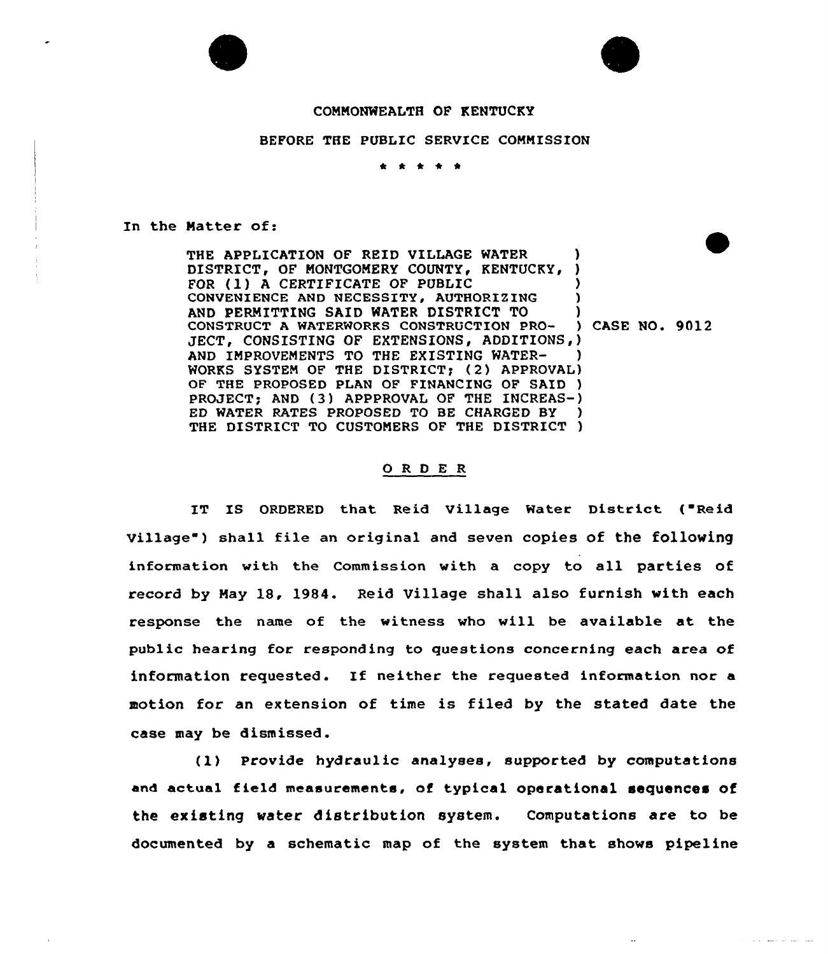



and the company of the state

## COMMONWEALTH OF KENTUCKY

## BEFORE THE PUBLIC SERVICE COMMISSION

\* \* \* \*

In the Natter of:

THE APPLICATION OF REID VILLAGE WATER  $\qquad$  ) DISTRICT, OF MONTGOMERY COUNTY, KENTUCKY, ) FOR (1) A CERTIFICATE OF PUBLIC CONVENIENCE AND NECESSITY, AUTHORIZING AND PERMITTING SAID WATER DISTRICT TO (a)<br>
CONSTRUCT A WATERWORKS CONSTRUCTION PRO-(b) CASE NO. 9012 CONSTRUCT A WATERWORKS CONSTRUCTION PRO-JECT, CONSISTING OF EXTENSIONS, ADDITIONS, ) AND IMPROVEMENTS TO THE EXISTING WATER-WORKS SYSTEM OF THE DISTRICT) (2) APPROVAL) OF THE PROPOSED PLAN OF FINANCING OF SAID ) PROJECT; AND (3) APPPROVAL OF THE INCREAS-) ED WATER RATES PROPOSED TO BE CHARGED BY ) THE DISTRICT TO CUSTOMERS OF THE DISTRICT )

## 0 <sup>R</sup> <sup>D</sup> <sup>E</sup> <sup>R</sup>

IT IS ORDERED that Reid Village Water District ("Reid village ) shall file an original and seven copies of the following information with the Commission with a copy to all parties of record by May 18, 1984. Reid Village shall also furnish with each response the name of the witness who will be available at the public hearing for responding to questions concerning each area of information requested. If neither the requested information nor <sup>a</sup> motion for an extension of time is filed by the stated date the case may be dismissed.

(1) Provide hydraulic analyses, supported by computations and actual field measurements, of typical operational sequences of the existing water distribution system. Computations are to be documented by a schematic map of the system that shows pipeline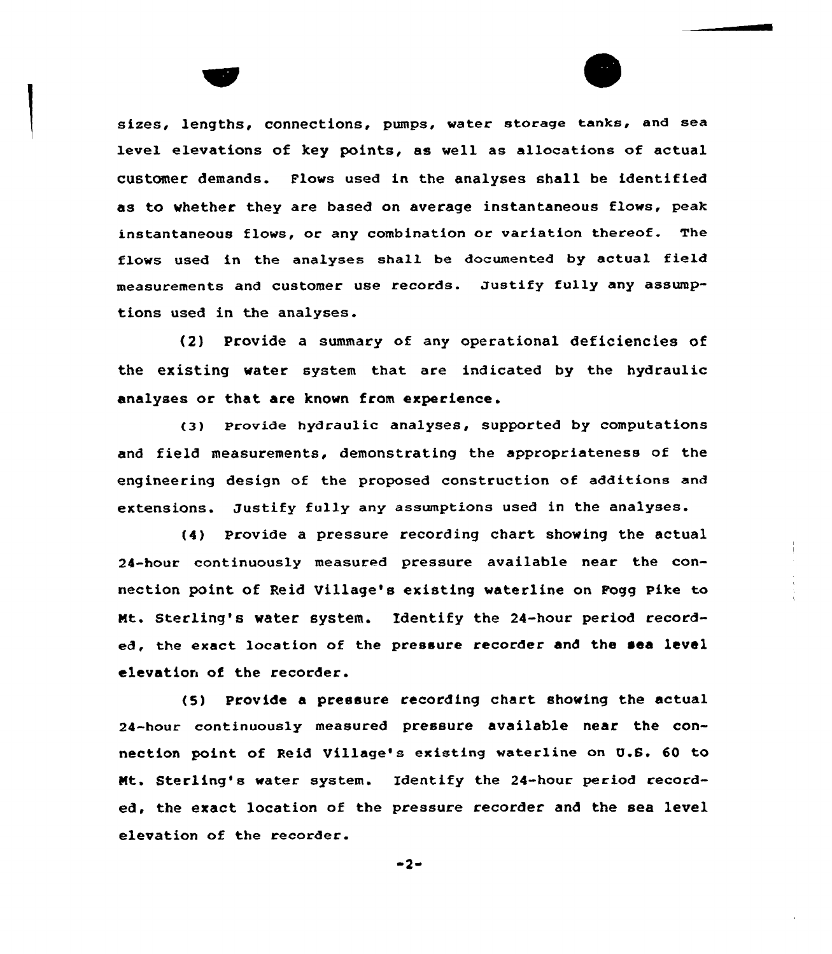sizes, lengths, connections, pumps, water storage tanks, and sea level elevations of key points, as well as allocations of actual customer demands. Flows used in the analyses shall be identified as to whether they are based on average instantaneous flows, peak instantaneous flows, or any combination or variation thereof. The flows used in the analyses shall be documented by actual field measurements and customer use records. Justify fully any assumptions used in the analyses.

(2) Provide a summary of any operational deficiencies of the existing water system that are indicated by the hydraulic analyses or that are known from experience.

(3) Provide hydraulic analyses, supported by computations and field measurements, demonstrating the appropriateness of the engineering design of the proposed construction of additions and extensions. Justify fully any assumptions used in the analyses.

(4) provide a pressure recording chart showing the actual 24-hour continuously measured pressure available near the connection point of Reid Village's existing waterline on Fogg Pike to Nt. Sterling's water system. Identify the 24-hour period recorded, the exact location of the pressure recorder and the sea level elevation of the recorder.

<5) provide a pressure recording chart showing the actual 24-hour continuously measured pressure available near the connection paint of Reid Village's existing waterline on U.S. 60 ta Nt. Sterling' water system. Identify the 24-hour period recorded, the exact location of the pressure recorder and the sea level elevation of the recorder.

 $-2-$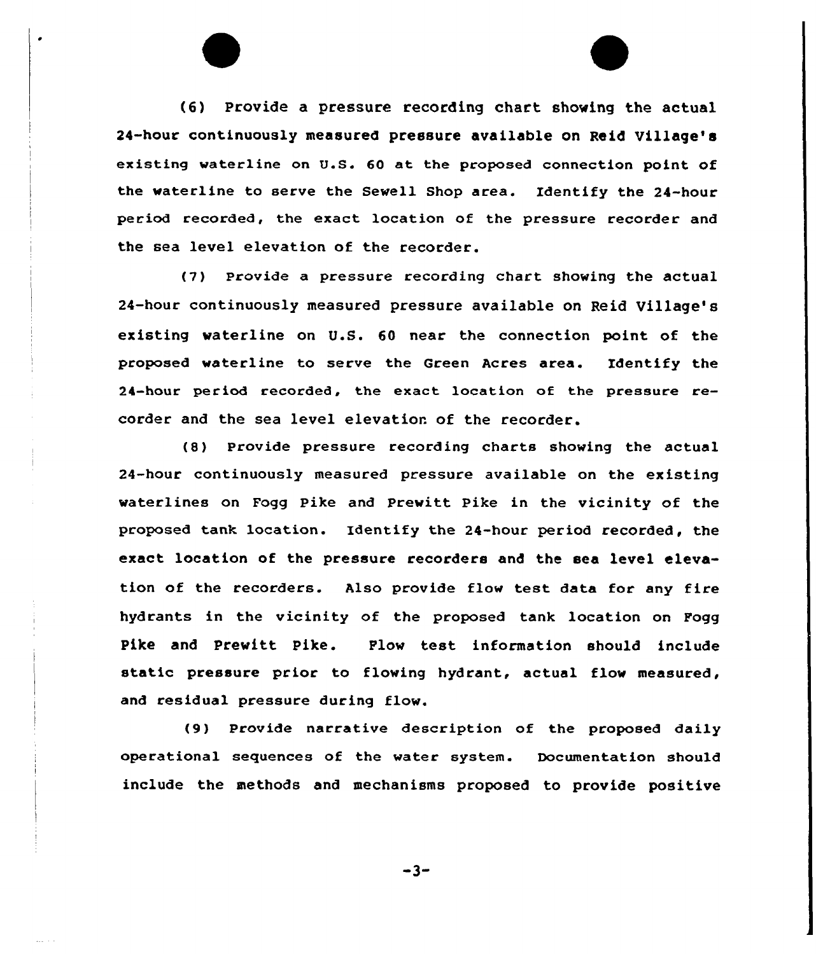(6) Provide a pressure recording chart showing the actual 24-hour continuously measuced pcessuce available on Reid Village's existing waterline on U.S. 60 at the proposed connection point of the waterline to serve the Sewell Shop area. Identify the 24-hour period recorded, the exact location of the pressure recorder and the sea level elevation of the recorder.

(7) Provide a pressure recording chart showing the actual 24-hour continuously measured pressure available on Reid Village's existing waterline on U.S. 60 near the connection point of the proposed waterline to serve the Green Acres area. Identify the 24-hour period recorded, the exact location of the pressure recorder and the sea level elevation of the recorder.

(8) Provide pressure recording charts showing the actual 24-hour continuously measured pressure available on the existing waterlines on Fogg Pike and Prewitt Pike in the vicinity of the proposed tank location. Identify the 24-hour period recorded, the exact location of the pressure recorders and the sea level elevation of the recorders. Also provide flow test data for any fire hydrants in the vicinity of the proposed tank location on Fogg Pike and Prewitt Pike. Plow test information should include static pressure prior to flowing hydrant, actual flow measured, and residual pressure during flow.

(9) Provide narrative description of the proposed daily operational sequences of the water system. Documentation should include the methods and mechanisms proposed to provide positive

 $-3-$